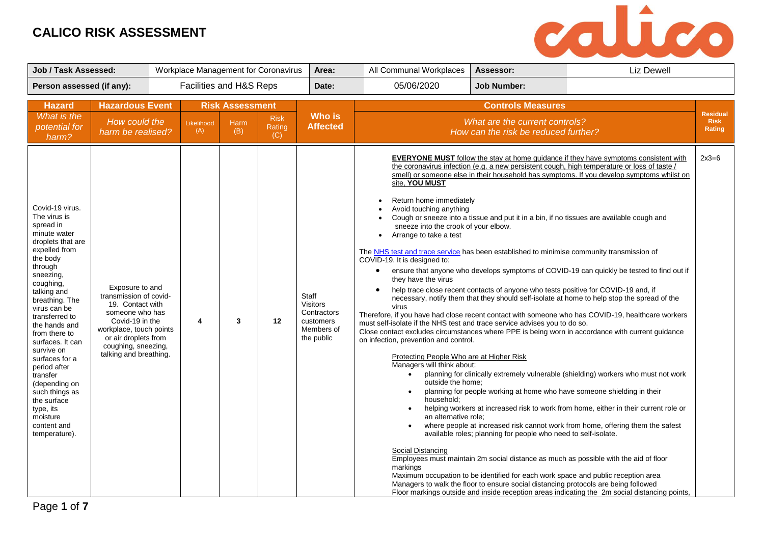

| <b>Job / Task Assessed:</b>                                                                                                                                                                                                                                                                                                                                                                                                                         |                                                                                                                                                                                                         |                         |                                       | Workplace Management for Coronavirus | Area:                                                                     | All Communal Workplaces                                                                                                                                                                                                                                                                                                                                                                                                                                                                                                                                                                                                                                                                    | Assessor:                                                                                                                                                                                                                                                                                                                                                                                                   | <b>Liz Dewell</b>                                                                                                                                                                                                                                                                                                                                                                                                                                                                                                                                                                                                                                                                                                                                                                                                                                                                                                                                                                                                                                                                                                                                                                                                                                 |                                          |
|-----------------------------------------------------------------------------------------------------------------------------------------------------------------------------------------------------------------------------------------------------------------------------------------------------------------------------------------------------------------------------------------------------------------------------------------------------|---------------------------------------------------------------------------------------------------------------------------------------------------------------------------------------------------------|-------------------------|---------------------------------------|--------------------------------------|---------------------------------------------------------------------------|--------------------------------------------------------------------------------------------------------------------------------------------------------------------------------------------------------------------------------------------------------------------------------------------------------------------------------------------------------------------------------------------------------------------------------------------------------------------------------------------------------------------------------------------------------------------------------------------------------------------------------------------------------------------------------------------|-------------------------------------------------------------------------------------------------------------------------------------------------------------------------------------------------------------------------------------------------------------------------------------------------------------------------------------------------------------------------------------------------------------|---------------------------------------------------------------------------------------------------------------------------------------------------------------------------------------------------------------------------------------------------------------------------------------------------------------------------------------------------------------------------------------------------------------------------------------------------------------------------------------------------------------------------------------------------------------------------------------------------------------------------------------------------------------------------------------------------------------------------------------------------------------------------------------------------------------------------------------------------------------------------------------------------------------------------------------------------------------------------------------------------------------------------------------------------------------------------------------------------------------------------------------------------------------------------------------------------------------------------------------------------|------------------------------------------|
| Person assessed (if any):                                                                                                                                                                                                                                                                                                                                                                                                                           |                                                                                                                                                                                                         | Facilities and H&S Reps |                                       |                                      | Date:                                                                     | 05/06/2020                                                                                                                                                                                                                                                                                                                                                                                                                                                                                                                                                                                                                                                                                 | <b>Job Number:</b>                                                                                                                                                                                                                                                                                                                                                                                          |                                                                                                                                                                                                                                                                                                                                                                                                                                                                                                                                                                                                                                                                                                                                                                                                                                                                                                                                                                                                                                                                                                                                                                                                                                                   |                                          |
| <b>Hazard</b><br>What is the<br>potential for<br>harm?                                                                                                                                                                                                                                                                                                                                                                                              | <b>Hazardous Event</b><br>How could the<br>harm be realised?                                                                                                                                            | Likelihood<br>(A)       | <b>Risk Assessment</b><br>Harm<br>(B) | <b>Risk</b><br>Rating<br>(C)         | <b>Who is</b><br><b>Affected</b>                                          |                                                                                                                                                                                                                                                                                                                                                                                                                                                                                                                                                                                                                                                                                            | <b>Controls Measures</b><br>What are the current controls?<br>How can the risk be reduced further?                                                                                                                                                                                                                                                                                                          |                                                                                                                                                                                                                                                                                                                                                                                                                                                                                                                                                                                                                                                                                                                                                                                                                                                                                                                                                                                                                                                                                                                                                                                                                                                   | <b>Residual</b><br><b>Risk</b><br>Rating |
| Covid-19 virus.<br>The virus is<br>spread in<br>minute water<br>droplets that are<br>expelled from<br>the body<br>through<br>sneezing,<br>coughing,<br>talking and<br>breathing. The<br>virus can be<br>transferred to<br>the hands and<br>from there to<br>surfaces. It can<br>survive on<br>surfaces for a<br>period after<br>transfer<br>(depending on<br>such things as<br>the surface<br>type, its<br>moisture<br>content and<br>temperature). | Exposure to and<br>transmission of covid-<br>19. Contact with<br>someone who has<br>Covid-19 in the<br>workplace, touch points<br>or air droplets from<br>coughing, sneezing,<br>talking and breathing. | 4                       | $\mathbf{3}$                          | 12                                   | Staff<br>Visitors<br>Contractors<br>customers<br>Members of<br>the public | site, YOU MUST<br>Return home immediately<br>Avoid touching anything<br>sneeze into the crook of your elbow.<br>Arrange to take a test<br>$\bullet$<br>The NHS test and trace service has been established to minimise community transmission of<br>COVID-19. It is designed to:<br>$\bullet$<br>they have the virus<br>$\bullet$<br>virus<br>must self-isolate if the NHS test and trace service advises you to do so.<br>on infection, prevention and control.<br>Protecting People Who are at Higher Risk<br>Managers will think about:<br>$\bullet$<br>outside the home:<br>$\bullet$<br>household;<br>$\bullet$<br>an alternative role;<br>$\bullet$<br>Social Distancing<br>markings | help trace close recent contacts of anyone who tests positive for COVID-19 and, if<br>planning for people working at home who have someone shielding in their<br>available roles; planning for people who need to self-isolate.<br>Maximum occupation to be identified for each work space and public reception area<br>Managers to walk the floor to ensure social distancing protocols are being followed | <b>EVERYONE MUST</b> follow the stay at home guidance if they have symptoms consistent with<br>the coronavirus infection (e.g. a new persistent cough, high temperature or loss of taste /<br>smell) or someone else in their household has symptoms. If you develop symptoms whilst on<br>Cough or sneeze into a tissue and put it in a bin, if no tissues are available cough and<br>ensure that anyone who develops symptoms of COVID-19 can quickly be tested to find out if<br>necessary, notify them that they should self-isolate at home to help stop the spread of the<br>Therefore, if you have had close recent contact with someone who has COVID-19, healthcare workers<br>Close contact excludes circumstances where PPE is being worn in accordance with current guidance<br>planning for clinically extremely vulnerable (shielding) workers who must not work<br>helping workers at increased risk to work from home, either in their current role or<br>where people at increased risk cannot work from home, offering them the safest<br>Employees must maintain 2m social distance as much as possible with the aid of floor<br>Floor markings outside and inside reception areas indicating the 2m social distancing points, | $2x3=6$                                  |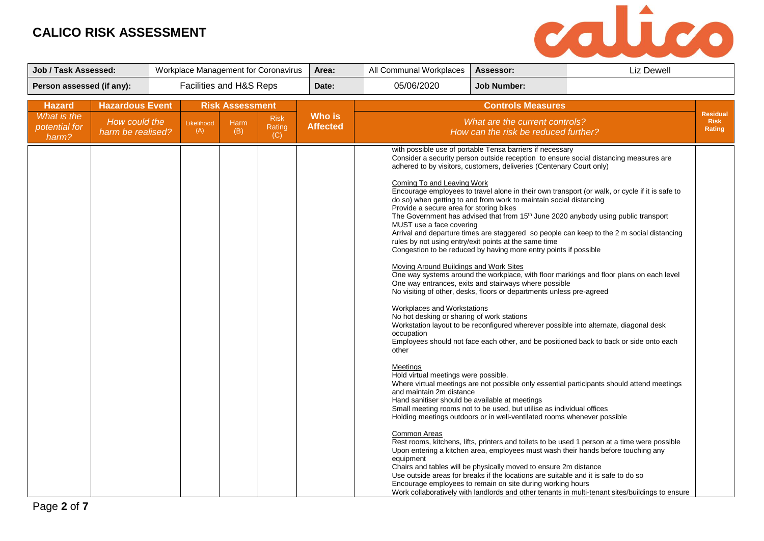

| Job / Task Assessed:                                   |                                                              |                         |                                       | Workplace Management for Coronavirus | Area:                            | All Communal Workplaces                                                                                                                                                                                                                                                                                                                                                                                        | Assessor:                                                                                                                                                                                                                                                                                                                                                                                                                                                                                                                                                                                                                                                                                                                                                                                                                                         | <b>Liz Dewell</b>                                                                                                                                                                                                                                                                                                                                                                                                                                                                                                                                                                                                                                                                                                                                                                                                                                                                                                                                                                                                                                           |                                          |
|--------------------------------------------------------|--------------------------------------------------------------|-------------------------|---------------------------------------|--------------------------------------|----------------------------------|----------------------------------------------------------------------------------------------------------------------------------------------------------------------------------------------------------------------------------------------------------------------------------------------------------------------------------------------------------------------------------------------------------------|---------------------------------------------------------------------------------------------------------------------------------------------------------------------------------------------------------------------------------------------------------------------------------------------------------------------------------------------------------------------------------------------------------------------------------------------------------------------------------------------------------------------------------------------------------------------------------------------------------------------------------------------------------------------------------------------------------------------------------------------------------------------------------------------------------------------------------------------------|-------------------------------------------------------------------------------------------------------------------------------------------------------------------------------------------------------------------------------------------------------------------------------------------------------------------------------------------------------------------------------------------------------------------------------------------------------------------------------------------------------------------------------------------------------------------------------------------------------------------------------------------------------------------------------------------------------------------------------------------------------------------------------------------------------------------------------------------------------------------------------------------------------------------------------------------------------------------------------------------------------------------------------------------------------------|------------------------------------------|
| Person assessed (if any):                              |                                                              | Facilities and H&S Reps |                                       |                                      | Date:                            | 05/06/2020                                                                                                                                                                                                                                                                                                                                                                                                     | <b>Job Number:</b>                                                                                                                                                                                                                                                                                                                                                                                                                                                                                                                                                                                                                                                                                                                                                                                                                                |                                                                                                                                                                                                                                                                                                                                                                                                                                                                                                                                                                                                                                                                                                                                                                                                                                                                                                                                                                                                                                                             |                                          |
| <b>Hazard</b><br>What is the<br>potential for<br>harm? | <b>Hazardous Event</b><br>How could the<br>harm be realised? | Likelihood<br>(A)       | <b>Risk Assessment</b><br>Harm<br>(B) | <b>Risk</b><br>Rating<br>(C)         | <b>Who is</b><br><b>Affected</b> |                                                                                                                                                                                                                                                                                                                                                                                                                | <b>Controls Measures</b><br>What are the current controls?<br>How can the risk be reduced further?                                                                                                                                                                                                                                                                                                                                                                                                                                                                                                                                                                                                                                                                                                                                                |                                                                                                                                                                                                                                                                                                                                                                                                                                                                                                                                                                                                                                                                                                                                                                                                                                                                                                                                                                                                                                                             | <b>Residual</b><br><b>Risk</b><br>Rating |
|                                                        |                                                              |                         |                                       |                                      |                                  | Coming To and Leaving Work<br>Provide a secure area for storing bikes<br>MUST use a face covering<br>Moving Around Buildings and Work Sites<br>Workplaces and Workstations<br>No hot desking or sharing of work stations<br>occupation<br>other<br>Meetings<br>Hold virtual meetings were possible.<br>and maintain 2m distance<br>Hand sanitiser should be available at meetings<br>Common Areas<br>equipment | with possible use of portable Tensa barriers if necessary<br>adhered to by visitors, customers, deliveries (Centenary Court only)<br>do so) when getting to and from work to maintain social distancing<br>rules by not using entry/exit points at the same time<br>Congestion to be reduced by having more entry points if possible<br>One way entrances, exits and stairways where possible<br>No visiting of other, desks, floors or departments unless pre-agreed<br>Small meeting rooms not to be used, but utilise as individual offices<br>Holding meetings outdoors or in well-ventilated rooms whenever possible<br>Chairs and tables will be physically moved to ensure 2m distance<br>Use outside areas for breaks if the locations are suitable and it is safe to do so<br>Encourage employees to remain on site during working hours | Consider a security person outside reception to ensure social distancing measures are<br>Encourage employees to travel alone in their own transport (or walk, or cycle if it is safe to<br>The Government has advised that from 15 <sup>th</sup> June 2020 anybody using public transport<br>Arrival and departure times are staggered so people can keep to the 2 m social distancing<br>One way systems around the workplace, with floor markings and floor plans on each level<br>Workstation layout to be reconfigured wherever possible into alternate, diagonal desk<br>Employees should not face each other, and be positioned back to back or side onto each<br>Where virtual meetings are not possible only essential participants should attend meetings<br>Rest rooms, kitchens, lifts, printers and toilets to be used 1 person at a time were possible<br>Upon entering a kitchen area, employees must wash their hands before touching any<br>Work collaboratively with landlords and other tenants in multi-tenant sites/buildings to ensure |                                          |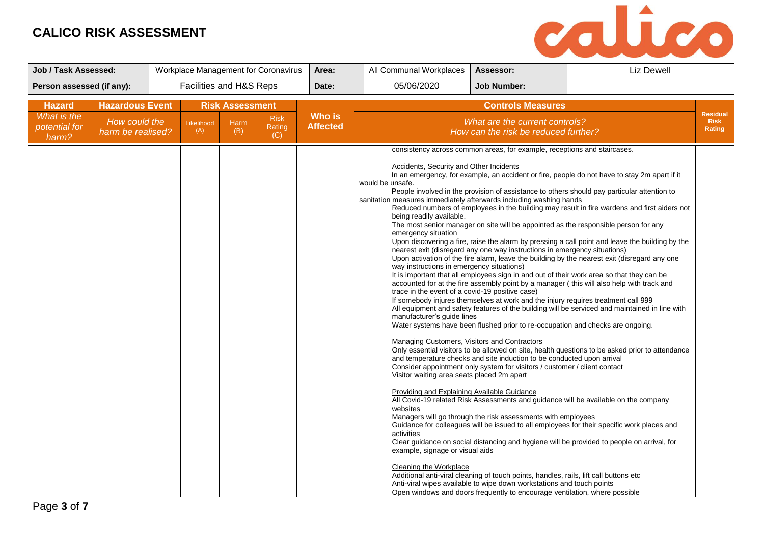

| <b>Job / Task Assessed:</b>                            |                                                              |                         |                                              | Workplace Management for Coronavirus | Area:                            | All Communal Workplaces                                                                                                                                                                                                                                                                                                                                                                                                                                                                                                                                       | Assessor:                                                                                                                                                                                                                                                                                                                                                                                                                                                                                                                                                                                                                                                                                                                                                                                           | <b>Liz Dewell</b>                                                                                                                                                                                                                                                                                                                                                                                                                                                                                                                                                                                                                                                                                                                                                                                                                                                                                                                                                                                                                                                                                                                                                                                                                                                       |                                          |
|--------------------------------------------------------|--------------------------------------------------------------|-------------------------|----------------------------------------------|--------------------------------------|----------------------------------|---------------------------------------------------------------------------------------------------------------------------------------------------------------------------------------------------------------------------------------------------------------------------------------------------------------------------------------------------------------------------------------------------------------------------------------------------------------------------------------------------------------------------------------------------------------|-----------------------------------------------------------------------------------------------------------------------------------------------------------------------------------------------------------------------------------------------------------------------------------------------------------------------------------------------------------------------------------------------------------------------------------------------------------------------------------------------------------------------------------------------------------------------------------------------------------------------------------------------------------------------------------------------------------------------------------------------------------------------------------------------------|-------------------------------------------------------------------------------------------------------------------------------------------------------------------------------------------------------------------------------------------------------------------------------------------------------------------------------------------------------------------------------------------------------------------------------------------------------------------------------------------------------------------------------------------------------------------------------------------------------------------------------------------------------------------------------------------------------------------------------------------------------------------------------------------------------------------------------------------------------------------------------------------------------------------------------------------------------------------------------------------------------------------------------------------------------------------------------------------------------------------------------------------------------------------------------------------------------------------------------------------------------------------------|------------------------------------------|
| Person assessed (if any):                              |                                                              | Facilities and H&S Reps |                                              |                                      | Date:                            | 05/06/2020                                                                                                                                                                                                                                                                                                                                                                                                                                                                                                                                                    | <b>Job Number:</b>                                                                                                                                                                                                                                                                                                                                                                                                                                                                                                                                                                                                                                                                                                                                                                                  |                                                                                                                                                                                                                                                                                                                                                                                                                                                                                                                                                                                                                                                                                                                                                                                                                                                                                                                                                                                                                                                                                                                                                                                                                                                                         |                                          |
| <b>Hazard</b><br>What is the<br>potential for<br>harm? | <b>Hazardous Event</b><br>How could the<br>harm be realised? | Likelihood<br>(A)       | <b>Risk Assessment</b><br><b>Harm</b><br>(B) | <b>Risk</b><br>Rating<br>(C)         | <b>Who is</b><br><b>Affected</b> |                                                                                                                                                                                                                                                                                                                                                                                                                                                                                                                                                               | <b>Controls Measures</b><br>What are the current controls?<br>How can the risk be reduced further?                                                                                                                                                                                                                                                                                                                                                                                                                                                                                                                                                                                                                                                                                                  |                                                                                                                                                                                                                                                                                                                                                                                                                                                                                                                                                                                                                                                                                                                                                                                                                                                                                                                                                                                                                                                                                                                                                                                                                                                                         | <b>Residual</b><br><b>Risk</b><br>Rating |
|                                                        |                                                              |                         |                                              |                                      |                                  | <b>Accidents, Security and Other Incidents</b><br>would be unsafe.<br>sanitation measures immediately afterwards including washing hands<br>being readily available.<br>emergency situation<br>way instructions in emergency situations)<br>trace in the event of a covid-19 positive case)<br>manufacturer's guide lines<br>Managing Customers, Visitors and Contractors<br>Visitor waiting area seats placed 2m apart<br>Providing and Explaining Available Guidance<br>websites<br>activities<br>example, signage or visual aids<br>Cleaning the Workplace | consistency across common areas, for example, receptions and staircases.<br>nearest exit (disregard any one way instructions in emergency situations)<br>If somebody injures themselves at work and the injury requires treatment call 999<br>Water systems have been flushed prior to re-occupation and checks are ongoing.<br>and temperature checks and site induction to be conducted upon arrival<br>Consider appointment only system for visitors / customer / client contact<br>Managers will go through the risk assessments with employees<br>Additional anti-viral cleaning of touch points, handles, rails, lift call buttons etc<br>Anti-viral wipes available to wipe down workstations and touch points<br>Open windows and doors frequently to encourage ventilation, where possible | In an emergency, for example, an accident or fire, people do not have to stay 2m apart if it<br>People involved in the provision of assistance to others should pay particular attention to<br>Reduced numbers of employees in the building may result in fire wardens and first aiders not<br>The most senior manager on site will be appointed as the responsible person for any<br>Upon discovering a fire, raise the alarm by pressing a call point and leave the building by the<br>Upon activation of the fire alarm, leave the building by the nearest exit (disregard any one<br>It is important that all employees sign in and out of their work area so that they can be<br>accounted for at the fire assembly point by a manager (this will also help with track and<br>All equipment and safety features of the building will be serviced and maintained in line with<br>Only essential visitors to be allowed on site, health questions to be asked prior to attendance<br>All Covid-19 related Risk Assessments and guidance will be available on the company<br>Guidance for colleagues will be issued to all employees for their specific work places and<br>Clear guidance on social distancing and hygiene will be provided to people on arrival, for |                                          |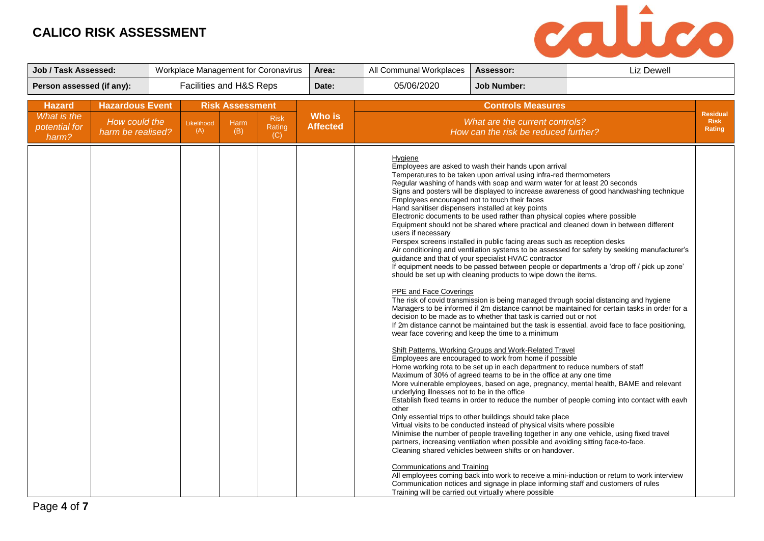

| <b>Job / Task Assessed:</b>  |                                         |                         |                                | Workplace Management for Coronavirus | Area:           | All Communal Workplaces                                                                                                                                                                                                                                      | Assessor:                                                                                                                                                                                                                                                                                                                                                                                                                                                                                                                                                                                                                                                                                                                                                                                                                                                                                                                                                                                                                                                                                                                                                                                                                                                                                                                               | Liz Dewell                                                                                                                                                                                                                                                                                                                                                                                                                                                                                                                                                                                                                                                                                                                                                                                                                                                                                                                                                                                                                                                |                                |
|------------------------------|-----------------------------------------|-------------------------|--------------------------------|--------------------------------------|-----------------|--------------------------------------------------------------------------------------------------------------------------------------------------------------------------------------------------------------------------------------------------------------|-----------------------------------------------------------------------------------------------------------------------------------------------------------------------------------------------------------------------------------------------------------------------------------------------------------------------------------------------------------------------------------------------------------------------------------------------------------------------------------------------------------------------------------------------------------------------------------------------------------------------------------------------------------------------------------------------------------------------------------------------------------------------------------------------------------------------------------------------------------------------------------------------------------------------------------------------------------------------------------------------------------------------------------------------------------------------------------------------------------------------------------------------------------------------------------------------------------------------------------------------------------------------------------------------------------------------------------------|-----------------------------------------------------------------------------------------------------------------------------------------------------------------------------------------------------------------------------------------------------------------------------------------------------------------------------------------------------------------------------------------------------------------------------------------------------------------------------------------------------------------------------------------------------------------------------------------------------------------------------------------------------------------------------------------------------------------------------------------------------------------------------------------------------------------------------------------------------------------------------------------------------------------------------------------------------------------------------------------------------------------------------------------------------------|--------------------------------|
| Person assessed (if any):    |                                         | Facilities and H&S Reps |                                |                                      | Date:           | 05/06/2020                                                                                                                                                                                                                                                   | <b>Job Number:</b>                                                                                                                                                                                                                                                                                                                                                                                                                                                                                                                                                                                                                                                                                                                                                                                                                                                                                                                                                                                                                                                                                                                                                                                                                                                                                                                      |                                                                                                                                                                                                                                                                                                                                                                                                                                                                                                                                                                                                                                                                                                                                                                                                                                                                                                                                                                                                                                                           |                                |
| <b>Hazard</b><br>What is the | <b>Hazardous Event</b><br>How could the | Likelihood              | <b>Risk Assessment</b><br>Harm | <b>Risk</b>                          | <b>Who is</b>   |                                                                                                                                                                                                                                                              | <b>Controls Measures</b><br>What are the current controls?                                                                                                                                                                                                                                                                                                                                                                                                                                                                                                                                                                                                                                                                                                                                                                                                                                                                                                                                                                                                                                                                                                                                                                                                                                                                              |                                                                                                                                                                                                                                                                                                                                                                                                                                                                                                                                                                                                                                                                                                                                                                                                                                                                                                                                                                                                                                                           | <b>Residual</b><br><b>Risk</b> |
| potential for<br>harm?       | harm be realised?                       | (A)                     | (B)                            | Rating<br>(C)                        | <b>Affected</b> |                                                                                                                                                                                                                                                              | How can the risk be reduced further?                                                                                                                                                                                                                                                                                                                                                                                                                                                                                                                                                                                                                                                                                                                                                                                                                                                                                                                                                                                                                                                                                                                                                                                                                                                                                                    |                                                                                                                                                                                                                                                                                                                                                                                                                                                                                                                                                                                                                                                                                                                                                                                                                                                                                                                                                                                                                                                           | Rating                         |
|                              |                                         |                         |                                |                                      |                 | Hygiene<br>Employees encouraged not to touch their faces<br>Hand sanitiser dispensers installed at key points<br>users if necessary<br><b>PPE and Face Coverings</b><br>underlying illnesses not to be in the office<br>other<br>Communications and Training | Employees are asked to wash their hands upon arrival<br>Temperatures to be taken upon arrival using infra-red thermometers<br>Regular washing of hands with soap and warm water for at least 20 seconds<br>Electronic documents to be used rather than physical copies where possible<br>Perspex screens installed in public facing areas such as reception desks<br>guidance and that of your specialist HVAC contractor<br>should be set up with cleaning products to wipe down the items.<br>decision to be made as to whether that task is carried out or not<br>wear face covering and keep the time to a minimum<br>Shift Patterns, Working Groups and Work-Related Travel<br>Employees are encouraged to work from home if possible<br>Home working rota to be set up in each department to reduce numbers of staff<br>Maximum of 30% of agreed teams to be in the office at any one time<br>Only essential trips to other buildings should take place<br>Virtual visits to be conducted instead of physical visits where possible<br>partners, increasing ventilation when possible and avoiding sitting face-to-face.<br>Cleaning shared vehicles between shifts or on handover.<br>Communication notices and signage in place informing staff and customers of rules<br>Training will be carried out virtually where possible | Signs and posters will be displayed to increase awareness of good handwashing technique<br>Equipment should not be shared where practical and cleaned down in between different<br>Air conditioning and ventilation systems to be assessed for safety by seeking manufacturer's<br>If equipment needs to be passed between people or departments a 'drop off / pick up zone'<br>The risk of covid transmission is being managed through social distancing and hygiene<br>Managers to be informed if 2m distance cannot be maintained for certain tasks in order for a<br>If 2m distance cannot be maintained but the task is essential, avoid face to face positioning,<br>More vulnerable employees, based on age, pregnancy, mental health, BAME and relevant<br>Establish fixed teams in order to reduce the number of people coming into contact with eavh<br>Minimise the number of people travelling together in any one vehicle, using fixed travel<br>All employees coming back into work to receive a mini-induction or return to work interview |                                |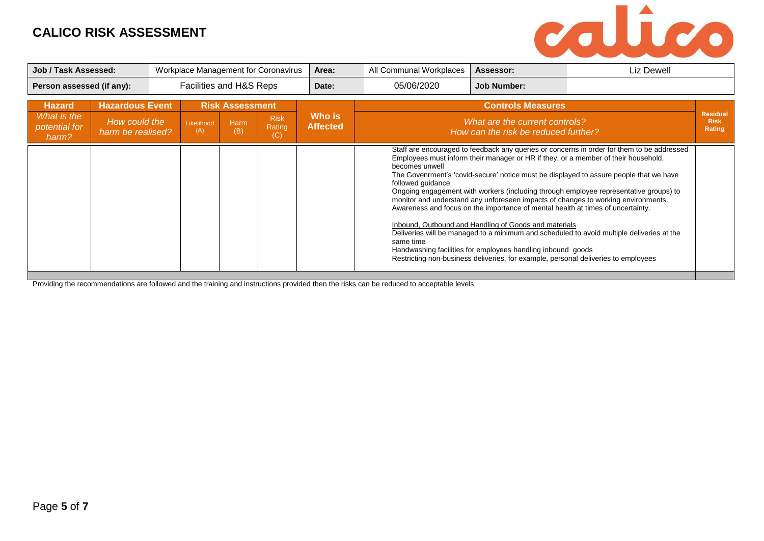

| Job / Task Assessed:                  | Workplace Management for Coronavirus                 |  | Area:             | All Communal Workplaces          | Assessor:                    | Liz Dewell                |                                                  |                                                                                                                                                                                                                                                                                                                                                                                     |                                                                                                                                                                                                                                                                                                                                                                                                                                                                 |                       |
|---------------------------------------|------------------------------------------------------|--|-------------------|----------------------------------|------------------------------|---------------------------|--------------------------------------------------|-------------------------------------------------------------------------------------------------------------------------------------------------------------------------------------------------------------------------------------------------------------------------------------------------------------------------------------------------------------------------------------|-----------------------------------------------------------------------------------------------------------------------------------------------------------------------------------------------------------------------------------------------------------------------------------------------------------------------------------------------------------------------------------------------------------------------------------------------------------------|-----------------------|
|                                       | Facilities and H&S Reps<br>Person assessed (if any): |  | Date:             | 05/06/2020<br><b>Job Number:</b> |                              |                           |                                                  |                                                                                                                                                                                                                                                                                                                                                                                     |                                                                                                                                                                                                                                                                                                                                                                                                                                                                 |                       |
| <b>Hazard</b>                         | <b>Hazardous Event</b>                               |  |                   | <b>Risk Assessment</b>           |                              |                           |                                                  | <b>Controls Measures</b>                                                                                                                                                                                                                                                                                                                                                            |                                                                                                                                                                                                                                                                                                                                                                                                                                                                 | <b>Residual</b>       |
| What is the<br>potential for<br>harm? | How could the<br>harm be realised?                   |  | Likelihood<br>(A) | Harm<br>(B)                      | <b>Risk</b><br>Rating<br>(C) | Who is<br><b>Affected</b> |                                                  | What are the current controls?<br>How can the risk be reduced further?                                                                                                                                                                                                                                                                                                              |                                                                                                                                                                                                                                                                                                                                                                                                                                                                 | <b>Risk</b><br>Rating |
|                                       |                                                      |  |                   |                                  |                              |                           | becomes unwell<br>followed quidance<br>same time | Employees must inform their manager or HR if they, or a member of their household,<br>Awareness and focus on the importance of mental health at times of uncertainty.<br>Inbound, Outbound and Handling of Goods and materials<br>Handwashing facilities for employees handling inbound goods<br>Restricting non-business deliveries, for example, personal deliveries to employees | Staff are encouraged to feedback any queries or concerns in order for them to be addressed<br>The Govenrment's 'covid-secure' notice must be displayed to assure people that we have<br>Ongoing engagement with workers (including through employee representative groups) to<br>monitor and understand any unforeseen impacts of changes to working environments.<br>Deliveries will be managed to a minimum and scheduled to avoid multiple deliveries at the |                       |

Providing the recommendations are followed and the training and instructions provided then the risks can be reduced to acceptable levels.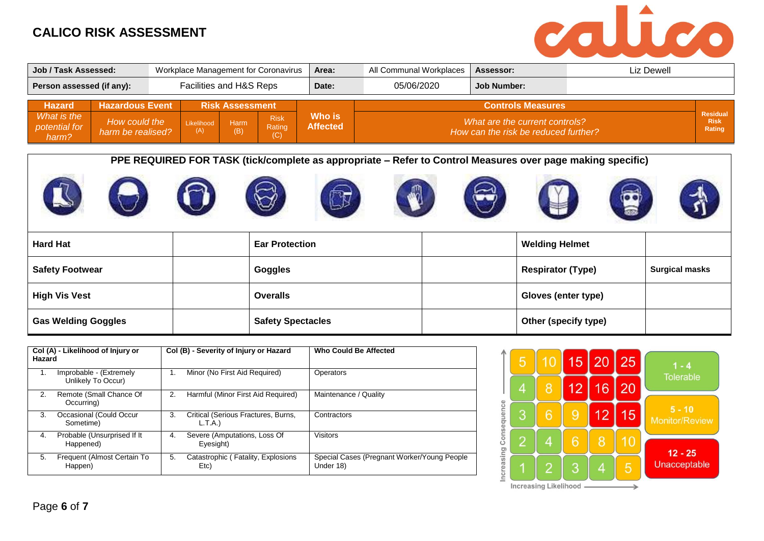

| Job / Task Assessed:         |                                         | Workplace Management for Coronavirus |            |                                |               | Area:              | All Communal Workplaces | Assessor:                                                  | Liz Dewell |                                |
|------------------------------|-----------------------------------------|--------------------------------------|------------|--------------------------------|---------------|--------------------|-------------------------|------------------------------------------------------------|------------|--------------------------------|
| Person assessed (if any):    | Facilities and H&S Reps                 |                                      |            | Date:                          | 05/06/2020    | <b>Job Number:</b> |                         |                                                            |            |                                |
| <b>Hazard</b><br>What is the | <b>Hazardous Event</b><br>How could the |                                      | Likelihood | <b>Risk Assessment</b><br>Harm | <b>Risk</b>   | Who is             |                         | <b>Controls Measures</b><br>What are the current controls? |            | <b>Residual</b><br><b>Risk</b> |
| potential for<br>harm?       | harm be realised?                       |                                      | (A)        | (B)                            | Rating<br>(C) | <b>Affected</b>    |                         | How can the risk be reduced further?                       |            | Rating                         |

**PPE REQUIRED FOR TASK (tick/complete as appropriate – Refer to Control Measures over page making specific)**











| <b>Hard Hat</b>            | <b>Ear Protection</b>    | <b>Welding Helmet</b>    |                       |
|----------------------------|--------------------------|--------------------------|-----------------------|
| <b>Safety Footwear</b>     | Goggles                  | <b>Respirator (Type)</b> | <b>Surgical masks</b> |
| <b>High Vis Vest</b>       | <b>Overalls</b>          | Gloves (enter type)      |                       |
| <b>Gas Welding Goggles</b> | <b>Safety Spectacles</b> | Other (specify type)     |                       |

| Hazard | Col (A) - Likelihood of Injury or             |    | Col (B) - Severity of Injury or Hazard        | <b>Who Could Be Affected</b>                             |
|--------|-----------------------------------------------|----|-----------------------------------------------|----------------------------------------------------------|
| 1.     | Improbable - (Extremely<br>Unlikely To Occur) | 1. | Minor (No First Aid Required)                 | Operators                                                |
| 2.     | Remote (Small Chance Of<br>Occurring)         | 2. | Harmful (Minor First Aid Required)            | Maintenance / Quality                                    |
| 3.     | Occasional (Could Occur<br>Sometime)          | 3. | Critical (Serious Fractures, Burns,<br>L.T.A. | Contractors                                              |
| 4.     | Probable (Unsurprised If It<br>Happened)      | 4. | Severe (Amputations, Loss Of<br>Eyesight)     | <b>Visitors</b>                                          |
| 5.     | Frequent (Almost Certain To<br>Happen)        | 5. | Catastrophic (Fatality, Explosions<br>Etc)    | Special Cases (Pregnant Worker/Young People<br>Under 18) |